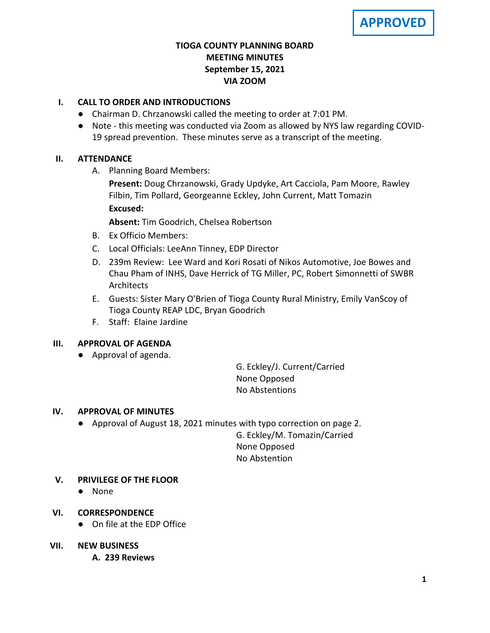## **TIOGA COUNTY PLANNING BOARD MEETING MINUTES September 15, 2021 VIA ZOOM**

# **I. CALL TO ORDER AND INTRODUCTIONS**

- Chairman D. Chrzanowski called the meeting to order at 7:01 PM.
- Note this meeting was conducted via Zoom as allowed by NYS law regarding COVID-19 spread prevention. These minutes serve as a transcript of the meeting.

## **II. ATTENDANCE**

A. Planning Board Members:

**Present:** Doug Chrzanowski, Grady Updyke, Art Cacciola, Pam Moore, Rawley Filbin, Tim Pollard, Georgeanne Eckley, John Current, Matt Tomazin **Excused:**

**Absent:** Tim Goodrich, Chelsea Robertson

- B. Ex Officio Members:
- C. Local Officials: LeeAnn Tinney, EDP Director
- D. 239m Review: Lee Ward and Kori Rosati of Nikos Automotive, Joe Bowes and Chau Pham of INHS, Dave Herrick of TG Miller, PC, Robert Simonnetti of SWBR Architects
- E. Guests: Sister Mary O'Brien of Tioga County Rural Ministry, Emily VanScoy of Tioga County REAP LDC, Bryan Goodrich
- F. Staff: Elaine Jardine

## **III. APPROVAL OF AGENDA**

● Approval of agenda.

G. Eckley/J. Current/Carried None Opposed No Abstentions

## **IV. APPROVAL OF MINUTES**

● Approval of August 18, 2021 minutes with typo correction on page 2.

G. Eckley/M. Tomazin/Carried None Opposed No Abstention

## **V. PRIVILEGE OF THE FLOOR**

● None

## **VI. CORRESPONDENCE**

● On file at the EDP Office

## **VII. NEW BUSINESS**

**A. A. 239 Reviews**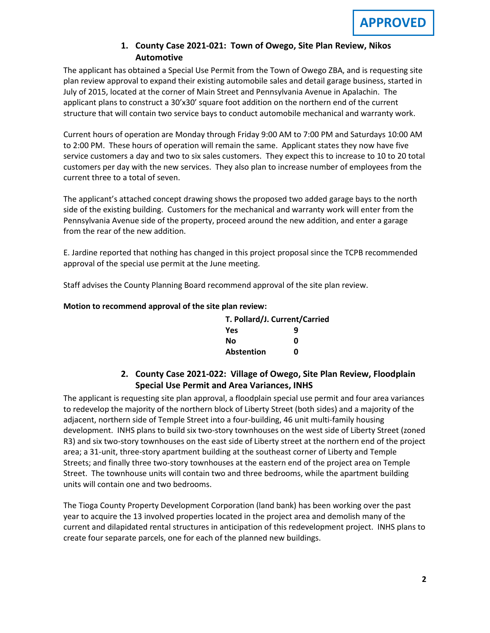## 1. County Case 2021-021: Town of Owego, Site Plan Review, Nikos **Automotive**

The applicant has obtained a Special Use Permit from the Town of Owego ZBA, and is requesting site plan review approval to expand their existing automobile sales and detail garage business, started in July of 2015, located at the corner of Main Street and Pennsylvania Avenue in Apalachin. The applicant plans to construct a 30'x30' square foot addition on the northern end of the current structure that will contain two service bays to conduct automobile mechanical and warranty work.

Current hours of operation are Monday through Friday 9:00 AM to 7:00 PM and Saturdays 10:00 AM to 2:00 PM. These hours of operation will remain the same. Applicant states they now have five service customers a day and two to six sales customers. They expect this to increase to 10 to 20 total customers per day with the new services. They also plan to increase number of employees from the current three to a total of seven.

The applicant's attached concept drawing shows the proposed two added garage bays to the north side of the existing building. Customers for the mechanical and warranty work will enter from the Pennsylvania Avenue side of the property, proceed around the new addition, and enter a garage from the rear of the new addition.

E. Jardine reported that nothing has changed in this project proposal since the TCPB recommended approval of the special use permit at the June meeting.

Staff advises the County Planning Board recommend approval of the site plan review.

### **Motion to recommend approval of the site plan review:**

| T. Pollard/J. Current/Carried |   |
|-------------------------------|---|
| Yes                           | q |
| No                            | n |
| <b>Abstention</b>             | n |

# **2. County Case 2021-022: Village of Owego, Site Plan Review, Floodplain Special Use Permit and Area Variances, INHS**

The applicant is requesting site plan approval, a floodplain special use permit and four area variances to redevelop the majority of the northern block of Liberty Street (both sides) and a majority of the adjacent, northern side of Temple Street into a four-building, 46 unit multi-family housing development. INHS plans to build six two-story townhouses on the west side of Liberty Street (zoned R3) and six two-story townhouses on the east side of Liberty street at the northern end of the project area; a 31-unit, three-story apartment building at the southeast corner of Liberty and Temple Streets; and finally three two-story townhouses at the eastern end of the project area on Temple Street. The townhouse units will contain two and three bedrooms, while the apartment building units will contain one and two bedrooms.

The Tioga County Property Development Corporation (land bank) has been working over the past year to acquire the 13 involved properties located in the project area and demolish many of the current and dilapidated rental structures in anticipation of this redevelopment project. INHS plans to create four separate parcels, one for each of the planned new buildings.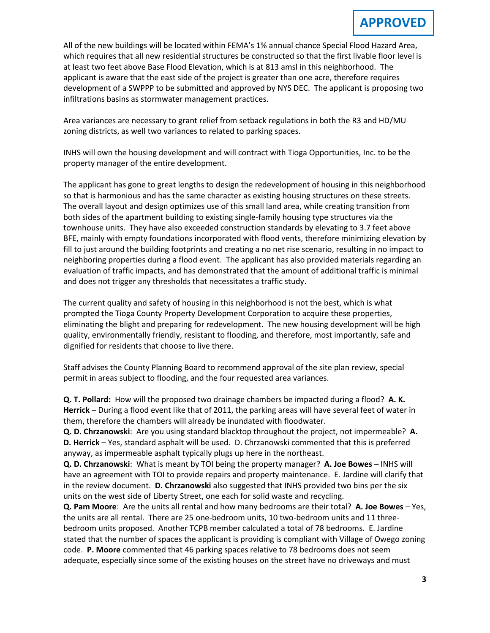All of the new buildings will be located within FEMA's 1% annual chance Special Flood Hazard Area, **D** which requires that all new residential structures be constructed so that the first livable floor level is at least two feet above Base Flood Elevation, which is at 813 amsl in this neighborhood. The applicant is aware that the east side of the project is greater than one acre, therefore requires development of a SWPPP to be submitted and approved by NYS DEC. The applicant is proposing two infiltrations basins as stormwater management practices.

Area variances are necessary to grant relief from setback regulations in both the R3 and HD/MU zoning districts, as well two variances to related to parking spaces.

INHS will own the housing development and will contract with Tioga Opportunities, Inc. to be the property manager of the entire development.

The applicant has gone to great lengths to design the redevelopment of housing in this neighborhood so that is harmonious and has the same character as existing housing structures on these streets. The overall layout and design optimizes use of this small land area, while creating transition from both sides of the apartment building to existing single-family housing type structures via the townhouse units. They have also exceeded construction standards by elevating to 3.7 feet above BFE, mainly with empty foundations incorporated with flood vents, therefore minimizing elevation by fill to just around the building footprints and creating a no net rise scenario, resulting in no impact to neighboring properties during a flood event. The applicant has also provided materials regarding an evaluation of traffic impacts, and has demonstrated that the amount of additional traffic is minimal and does not trigger any thresholds that necessitates a traffic study.

The current quality and safety of housing in this neighborhood is not the best, which is what prompted the Tioga County Property Development Corporation to acquire these properties, eliminating the blight and preparing for redevelopment. The new housing development will be high quality, environmentally friendly, resistant to flooding, and therefore, most importantly, safe and dignified for residents that choose to live there.

Staff advises the County Planning Board to recommend approval of the site plan review, special permit in areas subject to flooding, and the four requested area variances.

**Q. T. Pollard:** How will the proposed two drainage chambers be impacted during a flood? **A. K. Herrick** – During a flood event like that of 2011, the parking areas will have several feet of water in them, therefore the chambers will already be inundated with floodwater.

**Q. D. Chrzanowski**: Are you using standard blacktop throughout the project, not impermeable? **A. D. Herrick** – Yes, standard asphalt will be used. D. Chrzanowski commented that this is preferred anyway, as impermeable asphalt typically plugs up here in the northeast.

**Q. D. Chrzanowski**: What is meant by TOI being the property manager? **A. Joe Bowes** – INHS will have an agreement with TOI to provide repairs and property maintenance. E. Jardine will clarify that in the review document. **D. Chrzanowski** also suggested that INHS provided two bins per the six units on the west side of Liberty Street, one each for solid waste and recycling.

**Q. Pam Moore**: Are the units all rental and how many bedrooms are their total? **A. Joe Bowes** – Yes, the units are all rental. There are 25 one-bedroom units, 10 two-bedroom units and 11 threebedroom units proposed. Another TCPB member calculated a total of 78 bedrooms. E. Jardine stated that the number of spaces the applicant is providing is compliant with Village of Owego zoning code. **P. Moore** commented that 46 parking spaces relative to 78 bedrooms does not seem adequate, especially since some of the existing houses on the street have no driveways and must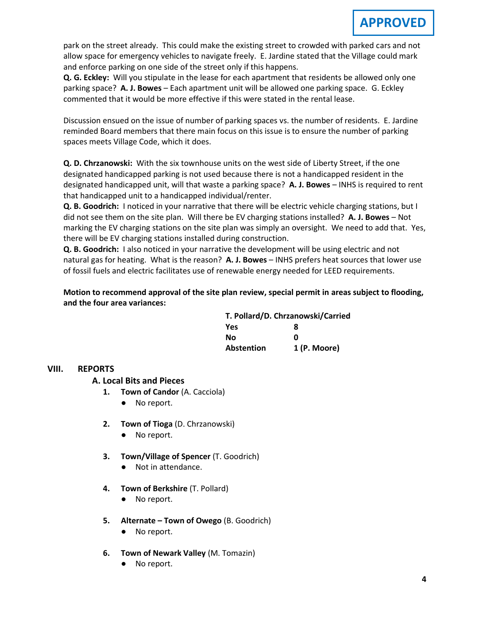park on the street already. This could make the existing street to crowded with parked cars and not allow space for emergency vehicles to navigate freely. E. Jardine stated that the Village could mark and enforce parking on one side of the street only if this happens.

**Q. G. Eckley:** Will you stipulate in the lease for each apartment that residents be allowed only one parking space? **A. J. Bowes** – Each apartment unit will be allowed one parking space. G. Eckley commented that it would be more effective if this were stated in the rental lease.

Discussion ensued on the issue of number of parking spaces vs. the number of residents. E. Jardine reminded Board members that there main focus on this issue is to ensure the number of parking spaces meets Village Code, which it does.

**Q. D. Chrzanowski:** With the six townhouse units on the west side of Liberty Street, if the one designated handicapped parking is not used because there is not a handicapped resident in the designated handicapped unit, will that waste a parking space? **A. J. Bowes** – INHS is required to rent that handicapped unit to a handicapped individual/renter.

**Q. B. Goodrich:** I noticed in your narrative that there will be electric vehicle charging stations, but I did not see them on the site plan. Will there be EV charging stations installed? **A. J. Bowes** – Not marking the EV charging stations on the site plan was simply an oversight. We need to add that. Yes, there will be EV charging stations installed during construction.

**Q. B. Goodrich:** I also noticed in your narrative the development will be using electric and not natural gas for heating. What is the reason? **A. J. Bowes** – INHS prefers heat sources that lower use of fossil fuels and electric facilitates use of renewable energy needed for LEED requirements.

**Motion to recommend approval of the site plan review, special permit in areas subject to flooding, and the four area variances:**

| T. Pollard/D. Chrzanowski/Carried |              |
|-----------------------------------|--------------|
| <b>Yes</b>                        | я            |
| Nο                                | ŋ            |
| Abstention                        | 1 (P. Moore) |

## **VIII. REPORTS**

**A. A. Local Bits and Pieces**

- **1. Town of Candor** (A. Cacciola)
	- No report.
- **2. Town of Tioga** (D. Chrzanowski)
	- No report.
- **3. Town/Village of Spencer** (T. Goodrich)
	- Not in attendance.
- **4. Town of Berkshire** (T. Pollard)
	- No report.
- **5. Alternate – Town of Owego** (B. Goodrich)
	- No report.
- **6. Town of Newark Valley** (M. Tomazin)
	- No report.